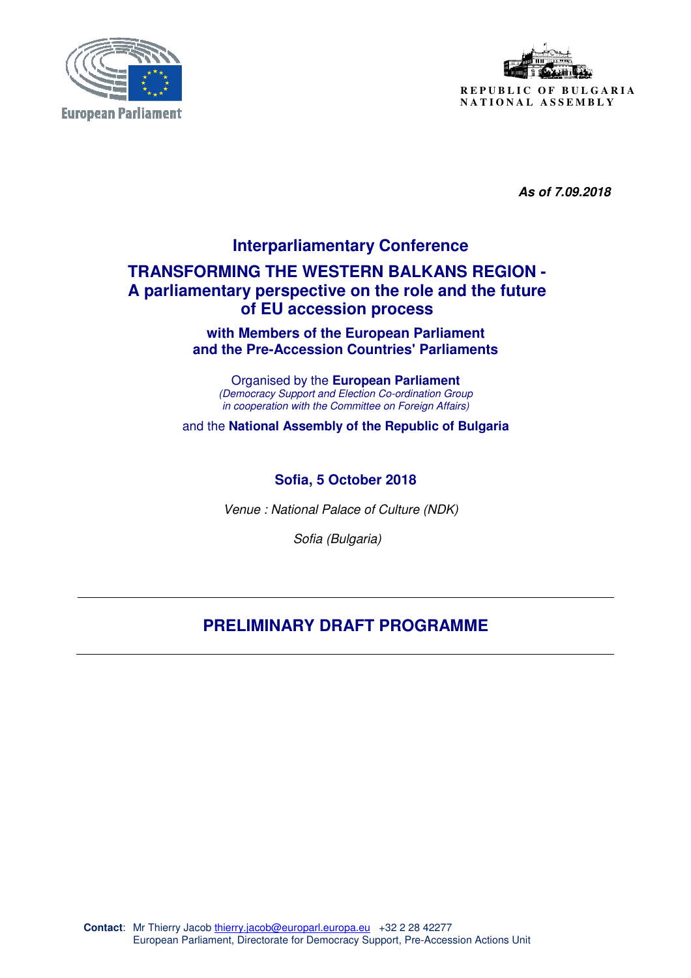



 **As of 7.09.2018** 

# **Interparliamentary Conference TRANSFORMING THE WESTERN BALKANS REGION - A parliamentary perspective on the role and the future of EU accession process**

**with Members of the European Parliament and the Pre-Accession Countries' Parliaments** 

Organised by the **European Parliament** (Democracy Support and Election Co-ordination Group in cooperation with the Committee on Foreign Affairs)

and the **National Assembly of the Republic of Bulgaria**

### **Sofia, 5 October 2018**

Venue : National Palace of Culture (NDK)

Sofia (Bulgaria)

## **PRELIMINARY DRAFT PROGRAMME**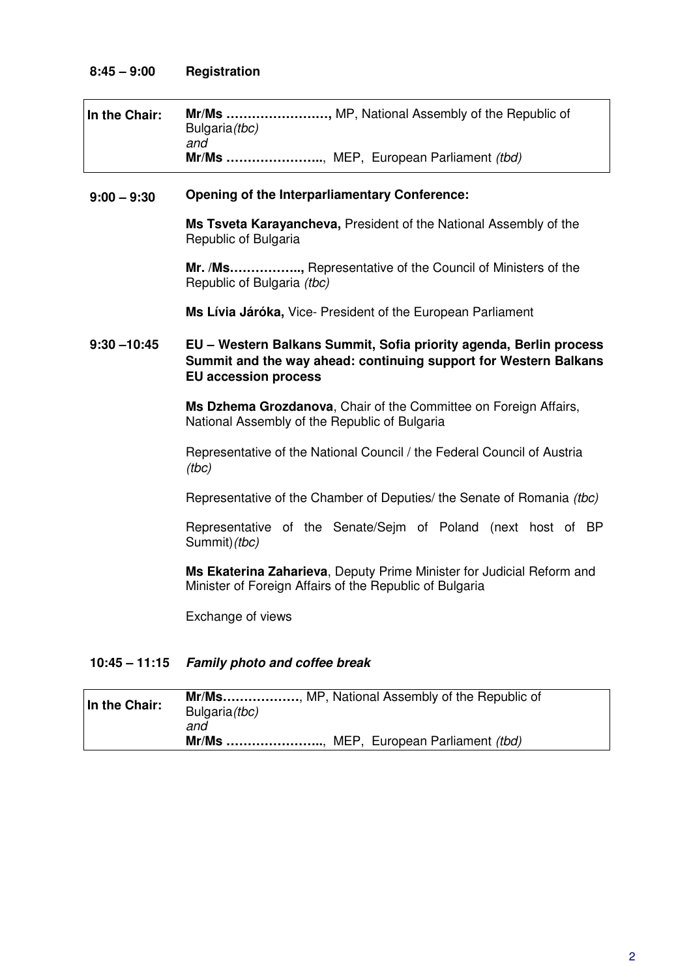| In the Chair: | Bulgaria(tbc)<br>and | Mr/Ms , MP, National Assembly of the Republic of |
|---------------|----------------------|--------------------------------------------------|
|               |                      | Mr/Ms , MEP, European Parliament (tbd)           |

#### **9:00 – 9:30 Opening of the Interparliamentary Conference:**

**Ms Tsveta Karayancheva,** President of the National Assembly of the Republic of Bulgaria

**Mr. /Ms……………..,** Representative of the Council of Ministers of the Republic of Bulgaria (tbc)

**Ms Lívia Járóka,** Vice- President of the European Parliament

#### **9:30 –10:45 EU – Western Balkans Summit, Sofia priority agenda, Berlin process Summit and the way ahead: continuing support for Western Balkans EU accession process**

**Ms Dzhema Grozdanova**, Chair of the Committee on Foreign Affairs, National Assembly of the Republic of Bulgaria

Representative of the National Council / the Federal Council of Austria (tbc)

Representative of the Chamber of Deputies/ the Senate of Romania (tbc)

Representative of the Senate/Sejm of Poland (next host of BP Summit)(tbc)

**Ms Ekaterina Zaharieva**, Deputy Prime Minister for Judicial Reform and Minister of Foreign Affairs of the Republic of Bulgaria

Exchange of views

#### **10:45 – 11:15 Family photo and coffee break**

| In the Chair: | Mr/Ms, MP, National Assembly of the Republic of<br>Bulgaria(tbc)<br>and |
|---------------|-------------------------------------------------------------------------|
|               | Mr/Ms , MEP, European Parliament (tbd)                                  |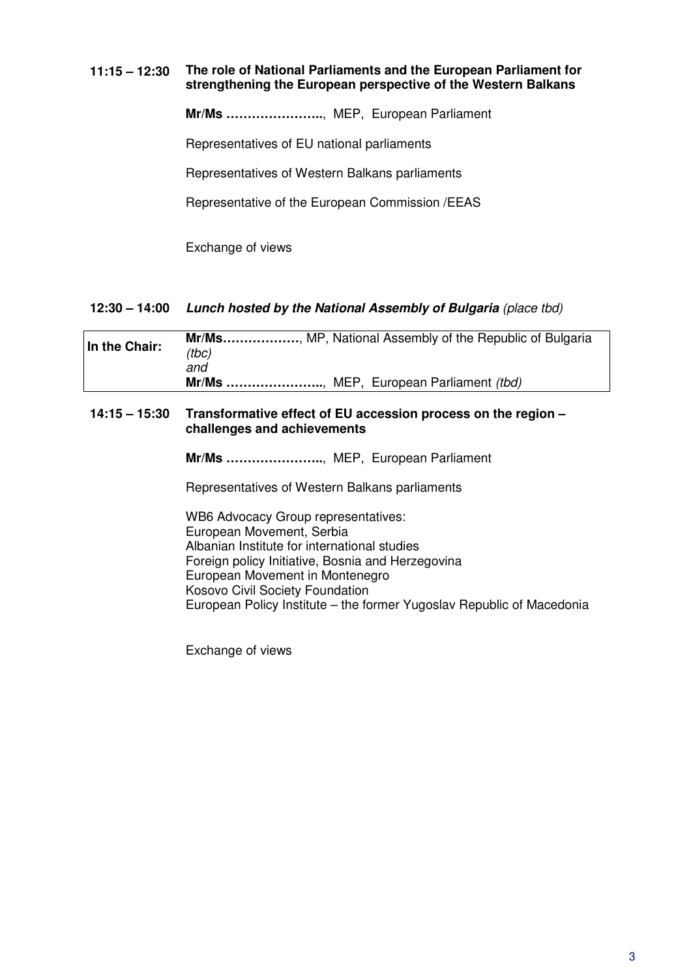#### **11:15 – 12:30 The role of National Parliaments and the European Parliament for strengthening the European perspective of the Western Balkans**

**Mr/Ms …………………..**, MEP, European Parliament

Representatives of EU national parliaments

Representatives of Western Balkans parliaments

Representative of the European Commission /EEAS

Exchange of views

#### **12:30 – 14:00 Lunch hosted by the National Assembly of Bulgaria** (place tbd)

| In the Chair: | Mr/Ms, MP, National Assembly of the Republic of Bulgaria<br>(tbc) |  |
|---------------|-------------------------------------------------------------------|--|
|               | and<br>Mr/Ms , MEP, European Parliament (tbd)                     |  |

#### **14:15 – 15:30 Transformative effect of EU accession process on the region – challenges and achievements**

**Mr/Ms …………………..**, MEP, European Parliament

Representatives of Western Balkans parliaments

WB6 Advocacy Group representatives: European Movement, Serbia Albanian Institute for international studies Foreign policy Initiative, Bosnia and Herzegovina European Movement in Montenegro Kosovo Civil Society Foundation European Policy Institute – the former Yugoslav Republic of Macedonia

Exchange of views